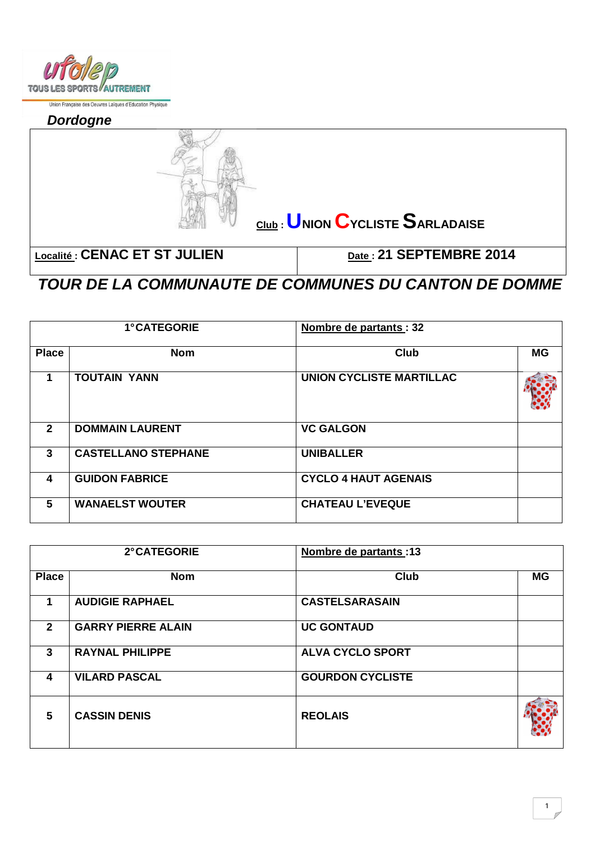

Union Française des Oeuvres Laïques d'Education Physique

**Dordogne** 



**TOUR DE LA COMMUNAUTE DE COMMUNES DU CANTON DE DOMME** 

| <b>1°CATEGORIE</b> |                            | Nombre de partants : 32         |           |
|--------------------|----------------------------|---------------------------------|-----------|
| <b>Place</b>       | <b>Nom</b>                 | Club                            | <b>MG</b> |
|                    | <b>TOUTAIN YANN</b>        | <b>UNION CYCLISTE MARTILLAC</b> |           |
| $\mathbf{2}$       | <b>DOMMAIN LAURENT</b>     | <b>VC GALGON</b>                |           |
| 3                  | <b>CASTELLANO STEPHANE</b> | <b>UNIBALLER</b>                |           |
| 4                  | <b>GUIDON FABRICE</b>      | <b>CYCLO 4 HAUT AGENAIS</b>     |           |
| 5                  | <b>WANAELST WOUTER</b>     | <b>CHATEAU L'EVEQUE</b>         |           |

|              | 2° CATEGORIE              | Nombre de partants: 13  |           |
|--------------|---------------------------|-------------------------|-----------|
| <b>Place</b> | <b>Nom</b>                | <b>Club</b>             | <b>MG</b> |
| 1            | <b>AUDIGIE RAPHAEL</b>    | <b>CASTELSARASAIN</b>   |           |
| $\mathbf{2}$ | <b>GARRY PIERRE ALAIN</b> | <b>UC GONTAUD</b>       |           |
| 3            | <b>RAYNAL PHILIPPE</b>    | <b>ALVA CYCLO SPORT</b> |           |
| 4            | <b>VILARD PASCAL</b>      | <b>GOURDON CYCLISTE</b> |           |
| 5            | <b>CASSIN DENIS</b>       | <b>REOLAIS</b>          |           |